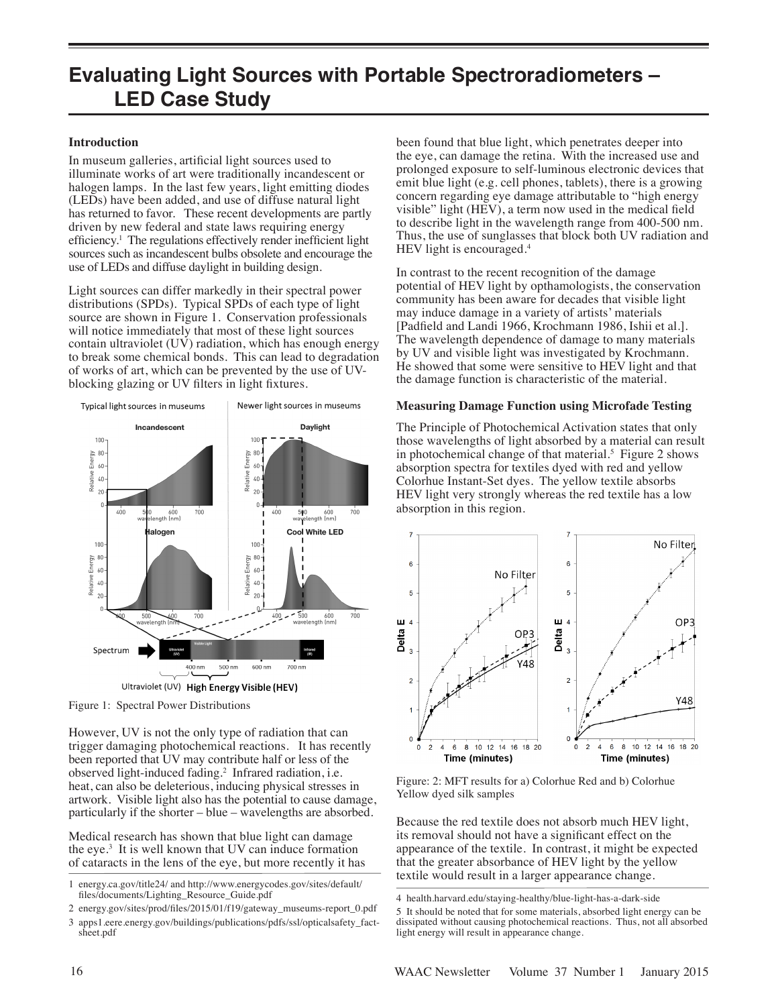# **Evaluating Light Sources with Portable Spectroradiometers – LED Case Study**

### **Introduction**

In museum galleries, artificial light sources used to illuminate works of art were traditionally incandescent or halogen lamps. In the last few years, light emitting diodes (LEDs) have been added, and use of diffuse natural light has returned to favor. These recent developments are partly driven by new federal and state laws requiring energy efficiency.<sup>1</sup> The regulations effectively render inefficient light sources such as incandescent bulbs obsolete and encourage the use of LEDs and diffuse daylight in building design.

Light sources can differ markedly in their spectral power distributions (SPDs). Typical SPDs of each type of light source are shown in Figure 1. Conservation professionals will notice immediately that most of these light sources contain ultraviolet (UV) radiation, which has enough energy to break some chemical bonds. This can lead to degradation of works of art, which can be prevented by the use of UVblocking glazing or UV filters in light fixtures.



Figure 1: Spectral Power Distributions

However, UV is not the only type of radiation that can trigger damaging photochemical reactions. It has recently been reported that UV may contribute half or less of the observed light-induced fading.<sup>2</sup> Infrared radiation, i.e. heat, can also be deleterious, inducing physical stresses in artwork. Visible light also has the potential to cause damage, particularly if the shorter – blue – wavelengths are absorbed.

Medical research has shown that blue light can damage the eye. $3$  It is well known that UV can induce formation of cataracts in the lens of the eye, but more recently it has

been found that blue light, which penetrates deeper into the eye, can damage the retina. With the increased use and prolonged exposure to self-luminous electronic devices that emit blue light (e.g. cell phones, tablets), there is a growing concern regarding eye damage attributable to "high energy visible" light (HEV), a term now used in the medical field to describe light in the wavelength range from 400-500 nm. Thus, the use of sunglasses that block both UV radiation and HEV light is encouraged.<sup>4</sup>

In contrast to the recent recognition of the damage potential of HEV light by opthamologists, the conservation community has been aware for decades that visible light may induce damage in a variety of artists' materials [Padfield and Landi 1966, Krochmann 1986, Ishii et al.]. The wavelength dependence of damage to many materials by UV and visible light was investigated by Krochmann. He showed that some were sensitive to HEV light and that the damage function is characteristic of the material.

### **Measuring Damage Function using Microfade Testing**

The Principle of Photochemical Activation states that only those wavelengths of light absorbed by a material can result in photochemical change of that material.<sup>5</sup> Figure 2 shows absorption spectra for textiles dyed with red and yellow Colorhue Instant-Set dyes. The yellow textile absorbs HEV light very strongly whereas the red textile has a low absorption in this region.



Figure: 2: MFT results for a) Colorhue Red and b) Colorhue Yellow dyed silk samples

Because the red textile does not absorb much HEV light, its removal should not have a significant effect on the appearance of the textile. In contrast, it might be expected that the greater absorbance of HEV light by the yellow textile would result in a larger appearance change.

<sup>1</sup> energy.ca.gov/title24/ and http://www.energycodes.gov/sites/default/ files/documents/Lighting\_Resource\_Guide.pdf

<sup>2</sup> energy.gov/sites/prod/files/2015/01/f19/gateway\_museums-report\_0.pdf

<sup>3</sup> apps1.eere.energy.gov/buildings/publications/pdfs/ssl/opticalsafety\_fact sheet.pdf

<sup>4</sup> health.harvard.edu/staying-healthy/blue-light-has-a-dark-side

<sup>5</sup> It should be noted that for some materials, absorbed light energy can be dissipated without causing photochemical reactions. Thus, not all absorbed light energy will result in appearance change.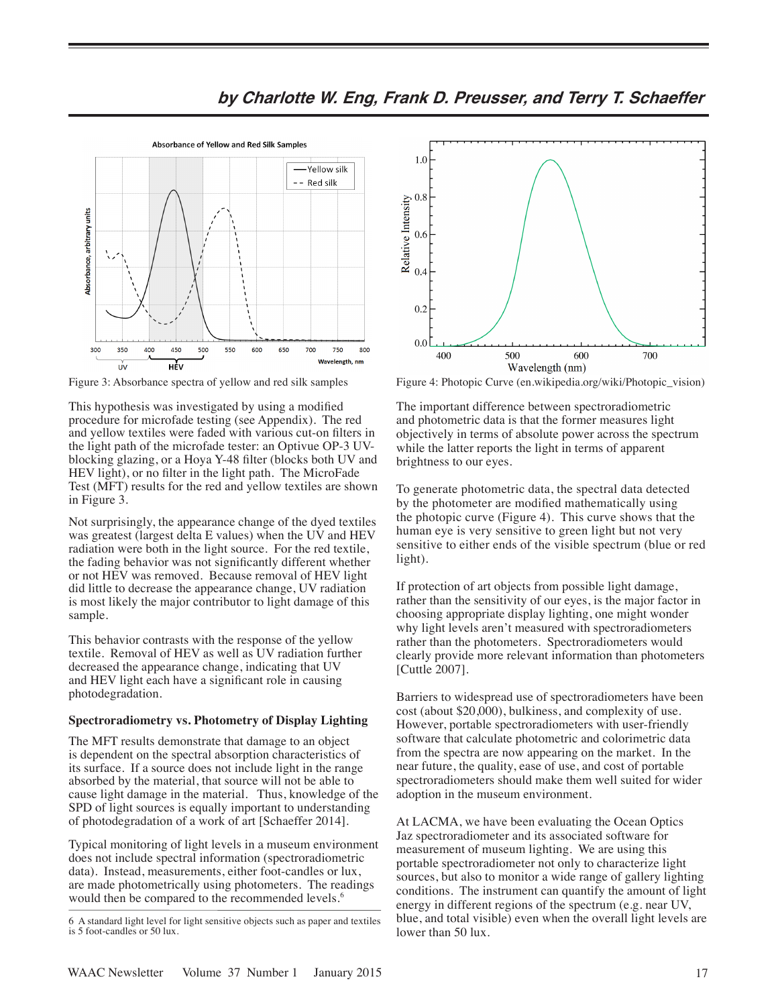

**by Charlotte W. Eng, Frank D. Preusser, and Terry T. Schaeffer**

Figure 3: Absorbance spectra of yellow and red silk samples Figure 4: Photopic Curve (en.wikipedia.org/wiki/Photopic\_vision)

This hypothesis was investigated by using a modified procedure for microfade testing (see Appendix). The red and yellow textiles were faded with various cut-on filters in the light path of the microfade tester: an Optivue OP-3 UVblocking glazing, or a Hoya Y-48 filter (blocks both UV and HEV light), or no filter in the light path. The MicroFade Test (MFT) results for the red and yellow textiles are shown in Figure 3.

Not surprisingly, the appearance change of the dyed textiles was greatest (largest delta E values) when the UV and HEV radiation were both in the light source. For the red textile, the fading behavior was not significantly different whether or not HEV was removed. Because removal of HEV light did little to decrease the appearance change, UV radiation is most likely the major contributor to light damage of this sample.

This behavior contrasts with the response of the yellow textile. Removal of HEV as well as UV radiation further decreased the appearance change, indicating that UV and HEV light each have a significant role in causing photodegradation.

#### **Spectroradiometry vs. Photometry of Display Lighting**

The MFT results demonstrate that damage to an object is dependent on the spectral absorption characteristics of its surface. If a source does not include light in the range absorbed by the material, that source will not be able to cause light damage in the material. Thus, knowledge of the SPD of light sources is equally important to understanding of photodegradation of a work of art [Schaeffer 2014].

Typical monitoring of light levels in a museum environment does not include spectral information (spectroradiometric data). Instead, measurements, either foot-candles or lux, are made photometrically using photometers. The readings would then be compared to the recommended levels.<sup>6</sup>



The important difference between spectroradiometric and photometric data is that the former measures light objectively in terms of absolute power across the spectrum while the latter reports the light in terms of apparent brightness to our eyes.

To generate photometric data, the spectral data detected by the photometer are modified mathematically using the photopic curve (Figure 4). This curve shows that the human eye is very sensitive to green light but not very sensitive to either ends of the visible spectrum (blue or red light).

If protection of art objects from possible light damage, rather than the sensitivity of our eyes, is the major factor in choosing appropriate display lighting, one might wonder why light levels aren't measured with spectroradiometers rather than the photometers. Spectroradiometers would clearly provide more relevant information than photometers [Cuttle 2007].

Barriers to widespread use of spectroradiometers have been cost (about \$20,000), bulkiness, and complexity of use. However, portable spectroradiometers with user-friendly software that calculate photometric and colorimetric data from the spectra are now appearing on the market. In the near future, the quality, ease of use, and cost of portable spectroradiometers should make them well suited for wider adoption in the museum environment.

At LACMA, we have been evaluating the Ocean Optics Jaz spectroradiometer and its associated software for measurement of museum lighting. We are using this portable spectroradiometer not only to characterize light sources, but also to monitor a wide range of gallery lighting conditions. The instrument can quantify the amount of light energy in different regions of the spectrum (e.g. near UV, blue, and total visible) even when the overall light levels are lower than 50 lux.

<sup>6</sup> A standard light level for light sensitive objects such as paper and textiles is 5 foot-candles or 50 lux.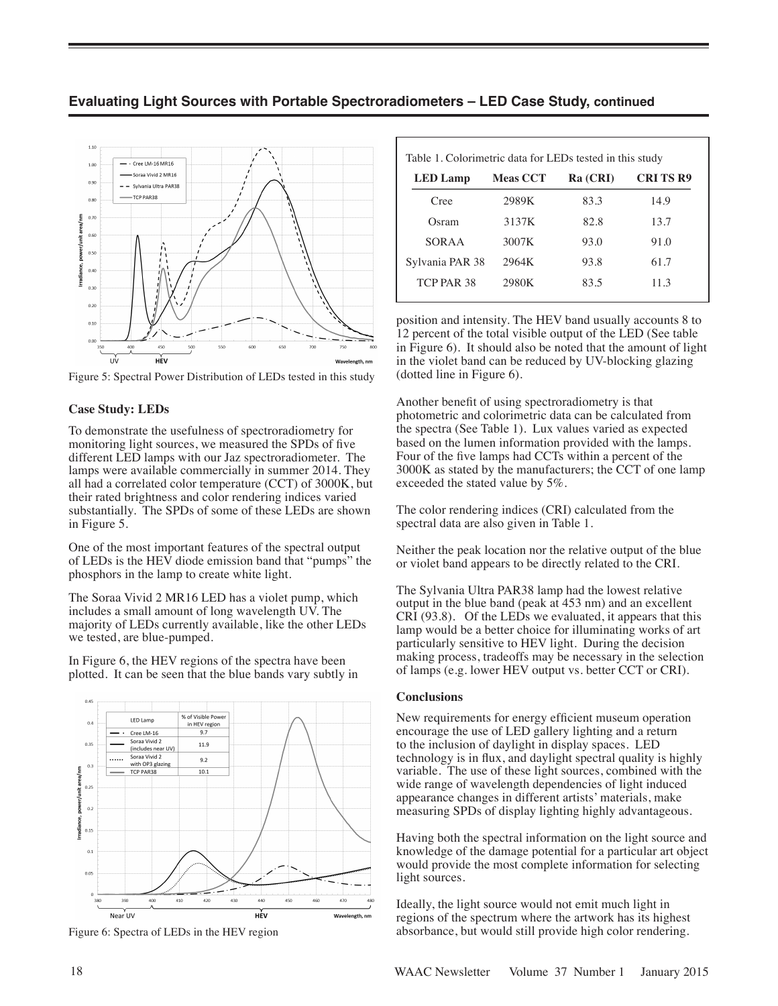

**Evaluating Light Sources with Portable Spectroradiometers – LED Case Study, continued**

Figure 5: Spectral Power Distribution of LEDs tested in this study

# **Case Study: LEDs**

To demonstrate the usefulness of spectroradiometry for monitoring light sources, we measured the SPDs of five different LED lamps with our Jaz spectroradiometer. The lamps were available commercially in summer 2014. They all had a correlated color temperature (CCT) of 3000K, but their rated brightness and color rendering indices varied substantially. The SPDs of some of these LEDs are shown in Figure 5.

One of the most important features of the spectral output of LEDs is the HEV diode emission band that "pumps" the phosphors in the lamp to create white light.

The Soraa Vivid 2 MR16 LED has a violet pump, which includes a small amount of long wavelength UV. The majority of LEDs currently available, like the other LEDs we tested, are blue-pumped.

In Figure 6, the HEV regions of the spectra have been plotted. It can be seen that the blue bands vary subtly in



Figure 6: Spectra of LEDs in the HEV region

| Table 1. Colorimetric data for LEDs tested in this study |                 |          |                 |
|----------------------------------------------------------|-----------------|----------|-----------------|
| <b>LED</b> Lamp                                          | <b>Meas CCT</b> | Ra (CRI) | <b>CRITS R9</b> |
| Cree                                                     | 2989K           | 83.3     | 14.9            |
| Osram                                                    | 3137K           | 82.8     | 13.7            |
| SORAA                                                    | 3007K           | 93.0     | 91.0            |
| Sylvania PAR 38                                          | 2964K           | 93.8     | 61.7            |
| TCP PAR 38                                               | 2980K           | 83.5     | 11.3            |
|                                                          |                 |          |                 |

position and intensity. The HEV band usually accounts 8 to 12 percent of the total visible output of the LED (See table in Figure 6). It should also be noted that the amount of light in the violet band can be reduced by UV-blocking glazing (dotted line in Figure 6).

Another benefit of using spectroradiometry is that photometric and colorimetric data can be calculated from the spectra (See Table 1). Lux values varied as expected based on the lumen information provided with the lamps. Four of the five lamps had CCTs within a percent of the 3000K as stated by the manufacturers; the CCT of one lamp exceeded the stated value by 5%.

The color rendering indices (CRI) calculated from the spectral data are also given in Table 1.

Neither the peak location nor the relative output of the blue or violet band appears to be directly related to the CRI.

The Sylvania Ultra PAR38 lamp had the lowest relative output in the blue band (peak at 453 nm) and an excellent CRI (93.8). Of the LEDs we evaluated, it appears that this lamp would be a better choice for illuminating works of art particularly sensitive to HEV light. During the decision making process, tradeoffs may be necessary in the selection of lamps (e.g. lower HEV output vs. better CCT or CRI).

## **Conclusions**

New requirements for energy efficient museum operation encourage the use of LED gallery lighting and a return to the inclusion of daylight in display spaces. LED technology is in flux, and daylight spectral quality is highly variable. The use of these light sources, combined with the wide range of wavelength dependencies of light induced appearance changes in different artists' materials, make measuring SPDs of display lighting highly advantageous.

Having both the spectral information on the light source and knowledge of the damage potential for a particular art object would provide the most complete information for selecting light sources.

Ideally, the light source would not emit much light in regions of the spectrum where the artwork has its highest absorbance, but would still provide high color rendering.